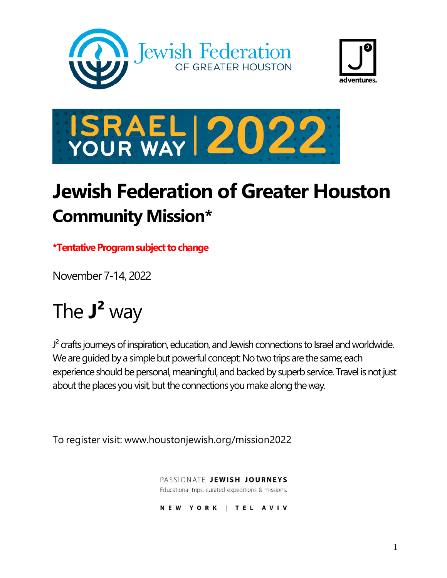





# **Jewish Federation of Greater Houston Community Mission\***

**\*Tentative Program subject to change**

November 7-14, 2022

# The **J²** way

 $J<sup>2</sup>$  crafts journeys of inspiration, education, and Jewish connections to Israel and worldwide. We are guided by a simple but powerful concept: No two trips are the same; each experience should be personal, meaningful, and backed by superb service. Travel is not just about the places you visit, but the connections you make along the way.

To register visit: www.houstonjewish.org/mission2022

PASSIONATE JEWISH JOURNEYS Educational trips, curated expeditions & missions.

NEW YORK | TEL AVIV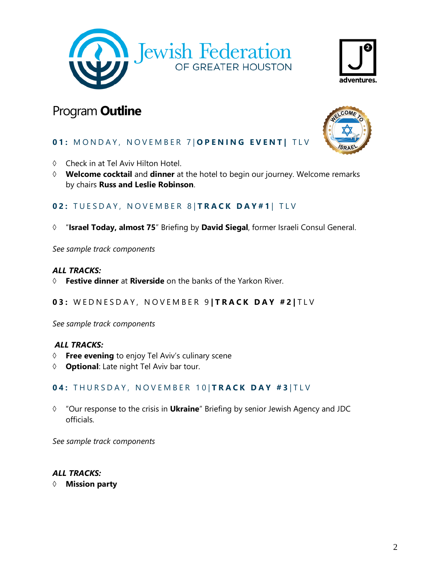



# Program **Outline**



# **01:** MONDAY, NOVEMBER 7 | OPENING EVENT| TLV

- Check in at Tel Aviv Hilton Hotel.
- **Welcome cocktail** and **dinner** at the hotel to begin our journey. Welcome remarks by chairs **Russ and Leslie Robinson**.

OF GREATER HOUSTON

# **02: TUESDAY, NOVEMBER 8 | TRACK DAY#1 | TLV**

"**Israel Today, almost 75**" Briefing by **David Siegal**, former Israeli Consul General.

*See sample track components*

#### *ALL TRACKS:*

- **Festive dinner** at **Riverside** on the banks of the Yarkon River.
- **03:** W E D N E S D A Y , N O V E M B E R 9 **| T R A C K D A Y # 2 |** T L V

*See sample track components*

#### *ALL TRACKS:*

- **Free evening** to enjoy Tel Aviv's culinary scene
- **Optional**: Late night Tel Aviv bar tour.

# **04:** THURSDAY, NOVEMBER 10 **TRACK DAY #3** TLV

 "Our response to the crisis in **Ukraine**" Briefing by senior Jewish Agency and JDC officials.

*See sample track components*

## *ALL TRACKS:*

**Mission party**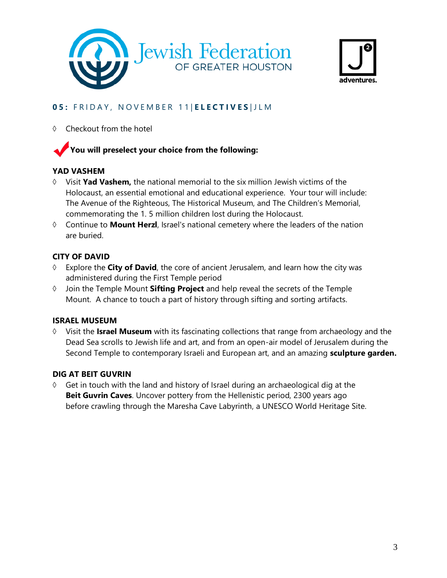



# **0 5 :** F R I D A Y , N O V E M B E R 1 1 | **E L E C T I V E S** | JLM

 $\Diamond$  Checkout from the hotel

# **You will preselect your choice from the following:**

## **YAD VASHEM**

- $\Diamond$  Visit **Yad Vashem**, the national memorial to the six million Jewish victims of the Holocaust, an essential emotional and educational experience. Your tour will include: The Avenue of the Righteous, The Historical Museum, and The Children's Memorial, commemorating the 1. 5 million children lost during the Holocaust.
- Continue to **Mount Herzl**, Israel's national cemetery where the leaders of the nation are buried.

## **CITY OF DAVID**

- Explore the **City of David**, the core of ancient Jerusalem, and learn how the city was administered during the First Temple period
- Join the Temple Mount **Sifting Project** and help reveal the secrets of the Temple Mount. A chance to touch a part of history through sifting and sorting artifacts.

#### **ISRAEL MUSEUM**

 Visit the **Israel Museum** with its fascinating collections that range from archaeology and the Dead Sea scrolls to Jewish life and art, and from an open-air model of Jerusalem during the Second Temple to contemporary Israeli and European art, and an amazing **sculpture garden.**

#### **DIG AT BEIT GUVRIN**

 Get in touch with the land and history of Israel during an archaeological dig at the **Beit Guvrin Caves**. Uncover pottery from the Hellenistic period, 2300 years ago before crawling through the Maresha Cave Labyrinth, a UNESCO World Heritage Site.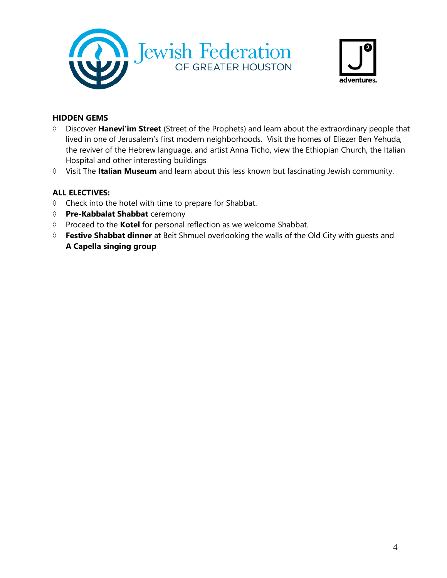



## **HIDDEN GEMS**

- Discover **Hanevi'im Street** (Street of the Prophets) and learn about the extraordinary people that lived in one of Jerusalem's first modern neighborhoods. Visit the homes of Eliezer Ben Yehuda, the reviver of the Hebrew language, and artist Anna Ticho, view the Ethiopian Church, the Italian Hospital and other interesting buildings
- Visit The **Italian Museum** and learn about this less known but fascinating Jewish community.

#### **ALL ELECTIVES:**

- $\Diamond$  Check into the hotel with time to prepare for Shabbat.
- **Pre-Kabbalat Shabbat** ceremony
- Proceed to the **Kotel** for personal reflection as we welcome Shabbat.
- **Festive Shabbat dinner** at Beit Shmuel overlooking the walls of the Old City with guests and **A Capella singing group**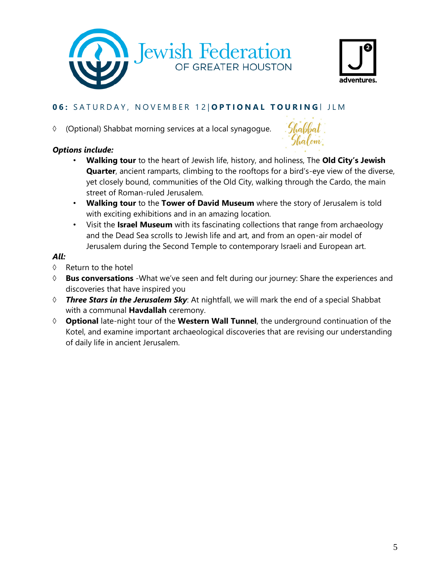



# **0 6 :** S A T U R D A Y , N O V E M B E R 1 2 | **O P T I O N A L T O U R I N G** | J L M

(Optional) Shabbat morning services at a local synagogue.

# *Options include:*



- **Walking tour** to the heart of Jewish life, history, and holiness, The **Old City's Jewish Quarter**, ancient ramparts, climbing to the rooftops for a bird's-eye view of the diverse, yet closely bound, communities of the Old City, walking through the Cardo, the main street of Roman-ruled Jerusalem.
- **Walking tour** to the **Tower of David Museum** where the story of Jerusalem is told with exciting exhibitions and in an amazing location.
- Visit the **Israel Museum** with its fascinating collections that range from archaeology and the Dead Sea scrolls to Jewish life and art, and from an open-air model of Jerusalem during the Second Temple to contemporary Israeli and European art.

# *All:*

- $\Diamond$  Return to the hotel
- **Bus conversations** -What we've seen and felt during our journey: Share the experiences and discoveries that have inspired you
- *Three Stars in the Jerusalem Sky*: At nightfall, we will mark the end of a special Shabbat with a communal **Havdallah** ceremony.
- **Optional** late-night tour of the **Western Wall Tunnel**, the underground continuation of the Kotel, and examine important archaeological discoveries that are revising our understanding of daily life in ancient Jerusalem.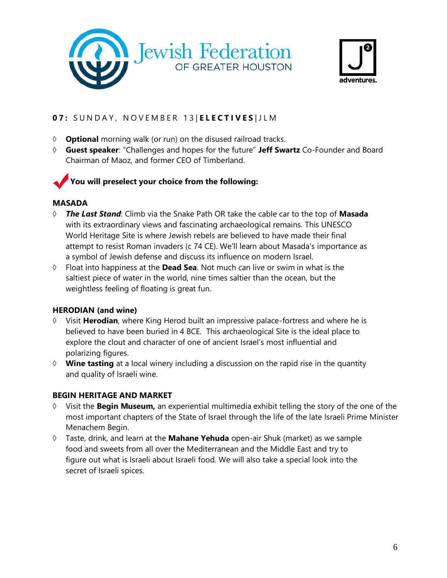



# **0 7 :** S U N D A Y , N O V E M B E R 1 3 | **E L E C T I V E S** | JLM

- **Optional** morning walk (or run) on the disused railroad tracks.
- **Guest speaker**: "Challenges and hopes for the future" **Jeff Swartz** Co-Founder and Board Chairman of Maoz, and former CEO of Timberland.

# **You will preselect your choice from the following:**

# **MASADA**

- *The Last Stand*: Climb via the Snake Path OR take the cable car to the top of **Masada** with its extraordinary views and fascinating archaeological remains. This UNESCO World Heritage Site is where Jewish rebels are believed to have made their final attempt to resist Roman invaders (c 74 CE). We'll learn about Masada's importance as a symbol of Jewish defense and discuss its influence on modern Israel.
- Float into happiness at the **Dead Sea**. Not much can live or swim in what is the saltiest piece of water in the world, nine times saltier than the ocean, but the weightless feeling of floating is great fun.

# **HERODIAN (and wine)**

- Visit **Herodian**, where King Herod built an impressive palace-fortress and where he is believed to have been buried in 4 BCE. This archaeological Site is the ideal place to explore the clout and character of one of ancient Israel's most influential and polarizing figures.
- **Wine tasting** at a local winery including a discussion on the rapid rise in the quantity and quality of Israeli wine.

# **BEGIN HERITAGE AND MARKET**

- Visit the **Begin Museum,** an experiential multimedia exhibit telling the story of the one of the most important chapters of the State of Israel through the life of the late Israeli Prime Minister Menachem Begin.
- Taste, drink, and learn at the **Mahane Yehuda** open-air Shuk (market) as we sample food and sweets from all over the Mediterranean and the Middle East and try to figure out what is Israeli about Israeli food. We will also take a special look into the secret of Israeli spices.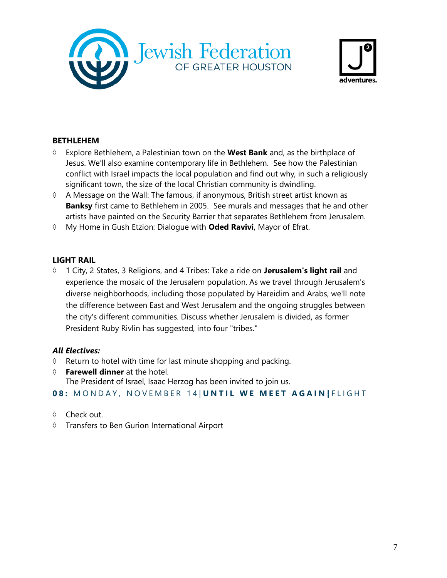



#### **BETHLEHEM**

- Explore Bethlehem, a Palestinian town on the **West Bank** and, as the birthplace of Jesus. We'll also examine contemporary life in Bethlehem. See how the Palestinian conflict with Israel impacts the local population and find out why, in such a religiously significant town, the size of the local Christian community is dwindling.
- $\Diamond$  A Message on the Wall: The famous, if anonymous, British street artist known as **Banksy** first came to Bethlehem in 2005. See murals and messages that he and other artists have painted on the Security Barrier that separates Bethlehem from Jerusalem.
- My Home in Gush Etzion: Dialogue with **Oded Ravivi**, Mayor of Efrat.

#### **LIGHT RAIL**

 1 City, 2 States, 3 Religions, and 4 Tribes: Take a ride on **Jerusalem's light rail** and experience the mosaic of the Jerusalem population. As we travel through Jerusalem's diverse neighborhoods, including those populated by Hareidim and Arabs, we'll note the difference between East and West Jerusalem and the ongoing struggles between the city's different communities. Discuss whether Jerusalem is divided, as former President Ruby Rivlin has suggested, into four "tribes."

#### *All Electives:*

- $\Diamond$  Return to hotel with time for last minute shopping and packing.
- **Farewell dinner** at the hotel. The President of Israel, Isaac Herzog has been invited to join us.

# **08: MONDAY, NOVEMBER 14 | UNTIL WE MEET AGAIN | FLIGHT**

- ♦ Check out.
- Transfers to Ben Gurion International Airport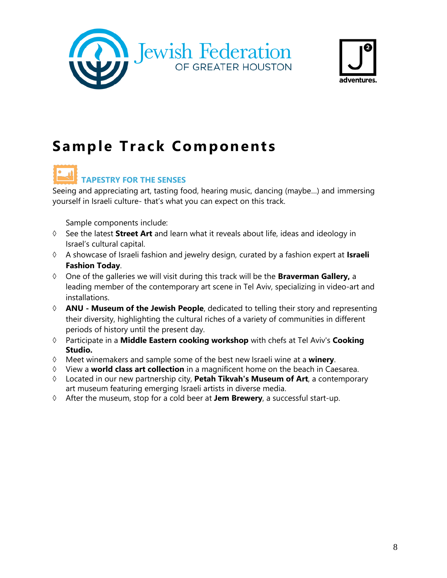



# **Sample Track Components**

# **TAPESTRY FOR THE SENSES**

Seeing and appreciating art, tasting food, hearing music, dancing (maybe…) and immersing yourself in Israeli culture- that's what you can expect on this track.

- See the latest **Street Art** and learn what it reveals about life, ideas and ideology in Israel's cultural capital.
- A showcase of Israeli fashion and jewelry design, curated by a fashion expert at **Israeli Fashion Today**.
- One of the galleries we will visit during this track will be the **Braverman Gallery,** a leading member of the contemporary art scene in Tel Aviv, specializing in video-art and installations.
- **ANU Museum of the Jewish People**, dedicated to telling their story and representing their diversity, highlighting the cultural riches of a variety of communities in different periods of history until the present day.
- Participate in a **Middle Eastern cooking workshop** with chefs at Tel Aviv's **Cooking Studio.**
- Meet winemakers and sample some of the best new Israeli wine at a **winery**.
- View a **world class art collection** in a magnificent home on the beach in Caesarea.
- Located in our new partnership city, **Petah Tikvah's Museum of Art**, a contemporary art museum featuring emerging Israeli artists in diverse media.
- After the museum, stop for a cold beer at **Jem Brewery**, a successful start-up.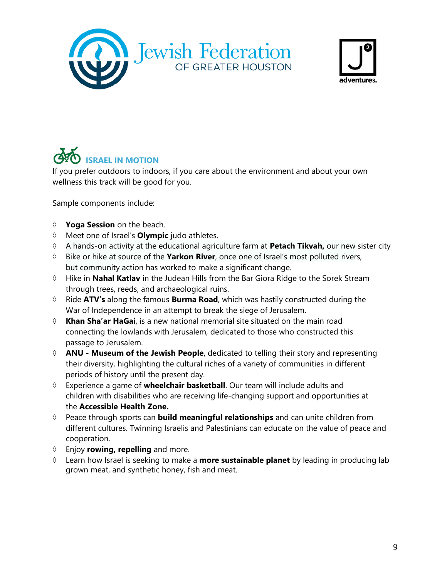



# **ISRAEL IN MOTION**

If you prefer outdoors to indoors, if you care about the environment and about your own wellness this track will be good for you.

- **Yoga Session** on the beach.
- Meet one of Israel's **Olympic** judo athletes.
- A hands-on activity at the educational agriculture farm at **Petach Tikvah,** our new sister city
- Bike or hike at source of the **Yarkon River**, once one of Israel's most polluted rivers, but community action has worked to make a significant change.
- Hike in **Nahal Katlav** in the Judean Hills from the Bar Giora Ridge to the Sorek Stream through trees, reeds, and archaeological ruins.
- Ride **ATV's** along the famous **Burma Road**, which was hastily constructed during the War of Independence in an attempt to break the siege of Jerusalem.
- **Khan Sha'ar HaGai**, is a new national memorial site situated on the main road connecting the lowlands with Jerusalem, dedicated to those who constructed this passage to Jerusalem.
- **ANU Museum of the Jewish People**, dedicated to telling their story and representing their diversity, highlighting the cultural riches of a variety of communities in different periods of history until the present day.
- Experience a game of **wheelchair basketball**. Our team will include adults and children with disabilities who are receiving life-changing support and opportunities at the **Accessible Health Zone.**
- Peace through sports can **build meaningful relationships** and can unite children from different cultures. Twinning Israelis and Palestinians can educate on the value of peace and cooperation.
- Enjoy **rowing, repelling** and more.
- Learn how Israel is seeking to make a **more sustainable planet** by leading in producing lab grown meat, and synthetic honey, fish and meat.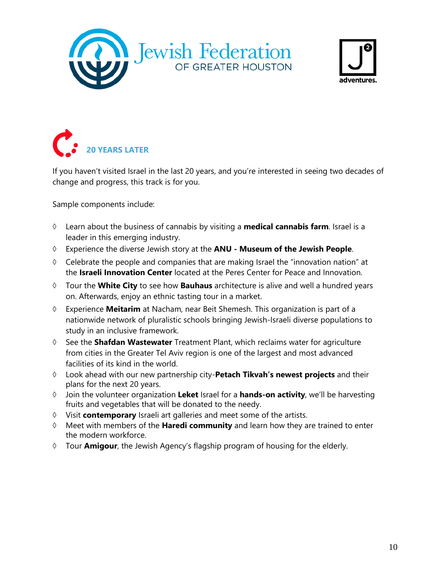





If you haven't visited Israel in the last 20 years, and you're interested in seeing two decades of change and progress, this track is for you.

- Learn about the business of cannabis by visiting a **medical cannabis farm**. Israel is a leader in this emerging industry.
- Experience the diverse Jewish story at the **ANU Museum of the Jewish People**.
- $\Diamond$  Celebrate the people and companies that are making Israel the "innovation nation" at the **Israeli Innovation Center** located at the Peres Center for Peace and Innovation.
- Tour the **White City** to see how **Bauhaus** architecture is alive and well a hundred years on. Afterwards, enjoy an ethnic tasting tour in a market.
- Experience **Meitarim** at Nacham, near Beit Shemesh. This organization is part of a nationwide network of pluralistic schools bringing Jewish-Israeli diverse populations to study in an inclusive framework.
- See the **Shafdan Wastewater** Treatment Plant, which reclaims water for agriculture from cities in the Greater Tel Aviv region is one of the largest and most advanced facilities of its kind in the world.
- Look ahead with our new partnership city-**Petach Tikvah's newest projects** and their plans for the next 20 years.
- Join the volunteer organization **Leket** Israel for a **hands-on activity**, we'll be harvesting fruits and vegetables that will be donated to the needy.
- Visit **contemporary** Israeli art galleries and meet some of the artists.
- Meet with members of the **Haredi community** and learn how they are trained to enter the modern workforce.
- Tour **Amigour**, the Jewish Agency's flagship program of housing for the elderly.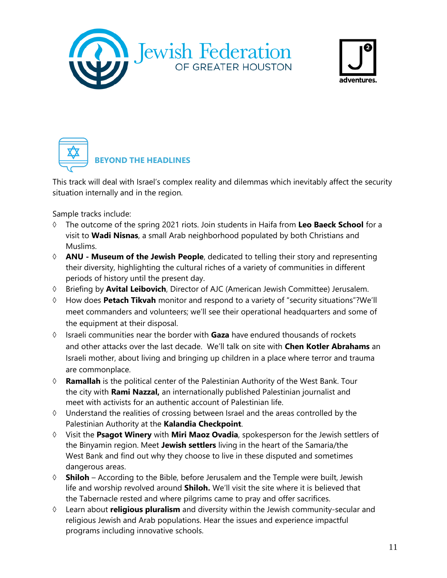





This track will deal with Israel's complex reality and dilemmas which inevitably affect the security situation internally and in the region.

Sample tracks include:

- The outcome of the spring 2021 riots. Join students in Haifa from **Leo Baeck School** for a visit to **Wadi Nisnas**, a small Arab neighborhood populated by both Christians and Muslims.
- **ANU Museum of the Jewish People**, dedicated to telling their story and representing their diversity, highlighting the cultural riches of a variety of communities in different periods of history until the present day.
- Briefing by **Avital Leibovich**, Director of AJC (American Jewish Committee) Jerusalem.
- How does **Petach Tikvah** monitor and respond to a variety of "security situations"?We'll meet commanders and volunteers; we'll see their operational headquarters and some of the equipment at their disposal.
- Israeli communities near the border with **Gaza** have endured thousands of rockets and other attacks over the last decade. We'll talk on site with **Chen Kotler Abrahams** an Israeli mother, about living and bringing up children in a place where terror and trauma are commonplace.
- **Ramallah** is the political center of the Palestinian Authority of the West Bank. Tour the city with **Rami Nazzal,** an internationally published Palestinian journalist and meet with activists for an authentic account of Palestinian life.
- $\Diamond$  Understand the realities of crossing between Israel and the areas controlled by the Palestinian Authority at the **Kalandia Checkpoint**.
- Visit the **Psagot Winery** with **Miri Maoz Ovadia**, spokesperson for the Jewish settlers of the Binyamin region. Meet **Jewish settlers** living in the heart of the Samaria/the West Bank and find out why they choose to live in these disputed and sometimes dangerous areas.
- **Shiloh** According to the Bible, before Jerusalem and the Temple were built, Jewish life and worship revolved around **Shiloh.** We'll visit the site where it is believed that the Tabernacle rested and where pilgrims came to pray and offer sacrifices.
- Learn about **religious pluralism** and diversity within the Jewish community-secular and religious Jewish and Arab populations. Hear the issues and experience impactful programs including innovative schools.